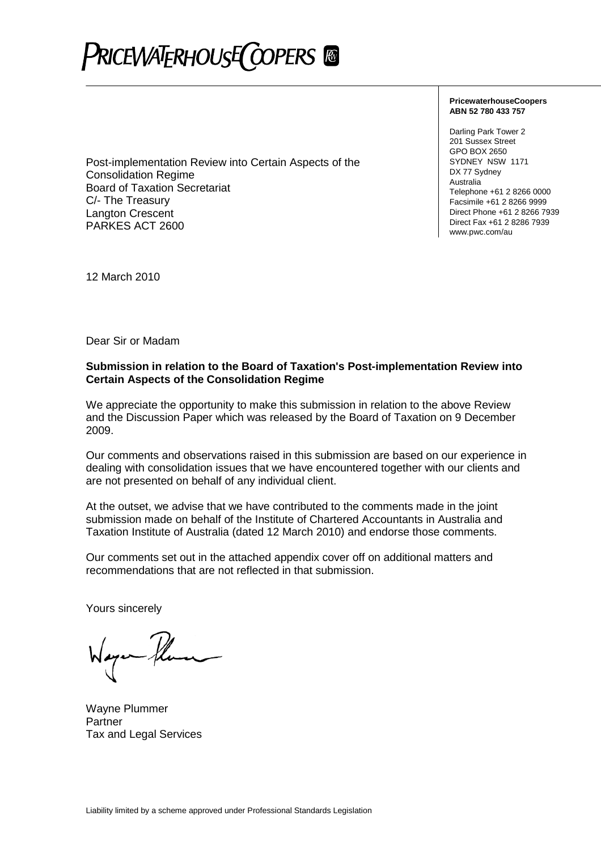# PRICEWATERHOUSE COPERS ®

Post-implementation Review into Certain Aspects of the Consolidation Regime Board of Taxation Secretariat C/- The Treasury Langton Crescent PARKES ACT 2600

**PricewaterhouseCoopers ABN 52 780 433 757**

Darling Park Tower 2 201 Sussex Street GPO BOX 2650 SYDNEY NSW 1171 DX 77 Sydney Australia Telephone +61 2 8266 0000 Facsimile +61 2 8266 9999 Direct Phone +61 2 8266 7939 Direct Fax +61 2 8286 7939 www.pwc.com/au

12 March 2010

Dear Sir or Madam

#### **Submission in relation to the Board of Taxation's Post-implementation Review into Certain Aspects of the Consolidation Regime**

We appreciate the opportunity to make this submission in relation to the above Review and the Discussion Paper which was released by the Board of Taxation on 9 December 2009.

Our comments and observations raised in this submission are based on our experience in dealing with consolidation issues that we have encountered together with our clients and are not presented on behalf of any individual client.

At the outset, we advise that we have contributed to the comments made in the joint submission made on behalf of the Institute of Chartered Accountants in Australia and Taxation Institute of Australia (dated 12 March 2010) and endorse those comments.

Our comments set out in the attached appendix cover off on additional matters and recommendations that are not reflected in that submission.

Yours sincerely

Wayne Plummer **Partner** Tax and Legal Services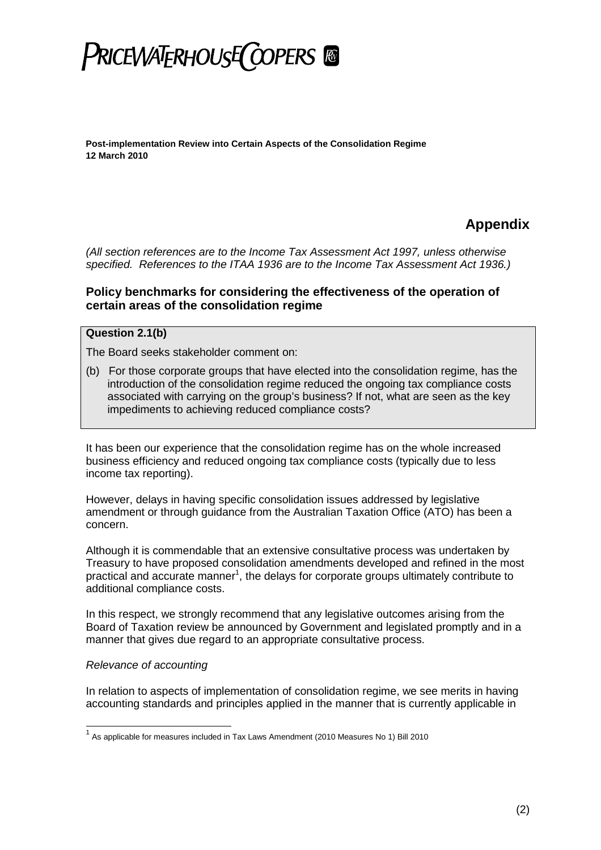

### **Appendix**

*(All section references are to the Income Tax Assessment Act 1997, unless otherwise specified. References to the ITAA 1936 are to the Income Tax Assessment Act 1936.)*

### **Policy benchmarks for considering the effectiveness of the operation of certain areas of the consolidation regime**

#### **Question 2.1(b)**

The Board seeks stakeholder comment on:

(b) For those corporate groups that have elected into the consolidation regime, has the introduction of the consolidation regime reduced the ongoing tax compliance costs associated with carrying on the group's business? If not, what are seen as the key impediments to achieving reduced compliance costs?

It has been our experience that the consolidation regime has on the whole increased business efficiency and reduced ongoing tax compliance costs (typically due to less income tax reporting).

However, delays in having specific consolidation issues addressed by legislative amendment or through guidance from the Australian Taxation Office (ATO) has been a concern.

Although it is commendable that an extensive consultative process was undertaken by Treasury to have proposed consolidation amendments developed and refined in the most practical and accurate manner<sup>[1](#page-1-0)</sup>, the delays for corporate groups ultimately contribute to additional compliance costs.

In this respect, we strongly recommend that any legislative outcomes arising from the Board of Taxation review be announced by Government and legislated promptly and in a manner that gives due regard to an appropriate consultative process.

#### *Relevance of accounting*

In relation to aspects of implementation of consolidation regime, we see merits in having accounting standards and principles applied in the manner that is currently applicable in

<span id="page-1-0"></span> $^1$  As applicable for measures included in Tax Laws Amendment (2010 Measures No 1) Bill 2010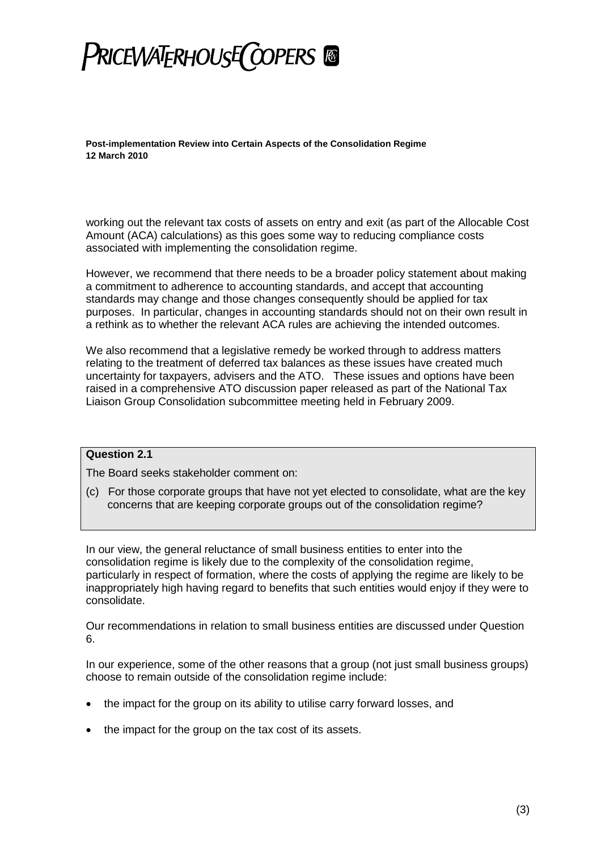

working out the relevant tax costs of assets on entry and exit (as part of the Allocable Cost Amount (ACA) calculations) as this goes some way to reducing compliance costs associated with implementing the consolidation regime.

However, we recommend that there needs to be a broader policy statement about making a commitment to adherence to accounting standards, and accept that accounting standards may change and those changes consequently should be applied for tax purposes. In particular, changes in accounting standards should not on their own result in a rethink as to whether the relevant ACA rules are achieving the intended outcomes.

We also recommend that a legislative remedy be worked through to address matters relating to the treatment of deferred tax balances as these issues have created much uncertainty for taxpayers, advisers and the ATO. These issues and options have been raised in a comprehensive ATO discussion paper released as part of the National Tax Liaison Group Consolidation subcommittee meeting held in February 2009.

### **Question 2.1**

The Board seeks stakeholder comment on:

(c) For those corporate groups that have not yet elected to consolidate, what are the key concerns that are keeping corporate groups out of the consolidation regime?

In our view, the general reluctance of small business entities to enter into the consolidation regime is likely due to the complexity of the consolidation regime, particularly in respect of formation, where the costs of applying the regime are likely to be inappropriately high having regard to benefits that such entities would enjoy if they were to consolidate.

Our recommendations in relation to small business entities are discussed under Question 6.

In our experience, some of the other reasons that a group (not just small business groups) choose to remain outside of the consolidation regime include:

- the impact for the group on its ability to utilise carry forward losses, and
- the impact for the group on the tax cost of its assets.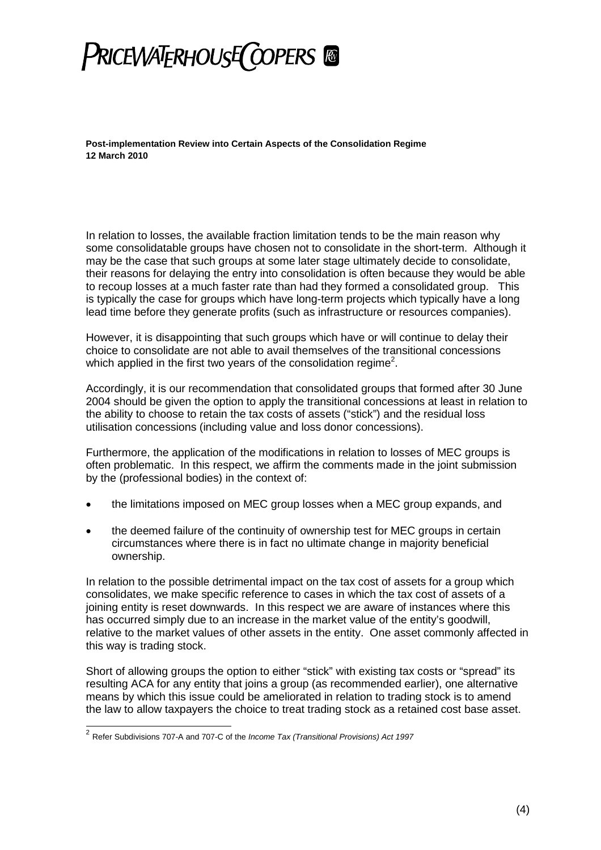

In relation to losses, the available fraction limitation tends to be the main reason why some consolidatable groups have chosen not to consolidate in the short-term. Although it may be the case that such groups at some later stage ultimately decide to consolidate, their reasons for delaying the entry into consolidation is often because they would be able to recoup losses at a much faster rate than had they formed a consolidated group. This is typically the case for groups which have long-term projects which typically have a long lead time before they generate profits (such as infrastructure or resources companies).

However, it is disappointing that such groups which have or will continue to delay their choice to consolidate are not able to avail themselves of the transitional concessions which applied in the first two years of the consolidation regime<sup>[2](#page-3-0)</sup>.

Accordingly, it is our recommendation that consolidated groups that formed after 30 June 2004 should be given the option to apply the transitional concessions at least in relation to the ability to choose to retain the tax costs of assets ("stick") and the residual loss utilisation concessions (including value and loss donor concessions).

Furthermore, the application of the modifications in relation to losses of MEC groups is often problematic. In this respect, we affirm the comments made in the joint submission by the (professional bodies) in the context of:

- the limitations imposed on MEC group losses when a MEC group expands, and
- the deemed failure of the continuity of ownership test for MEC groups in certain circumstances where there is in fact no ultimate change in majority beneficial ownership.

In relation to the possible detrimental impact on the tax cost of assets for a group which consolidates, we make specific reference to cases in which the tax cost of assets of a joining entity is reset downwards. In this respect we are aware of instances where this has occurred simply due to an increase in the market value of the entity's goodwill, relative to the market values of other assets in the entity. One asset commonly affected in this way is trading stock.

Short of allowing groups the option to either "stick" with existing tax costs or "spread" its resulting ACA for any entity that joins a group (as recommended earlier), one alternative means by which this issue could be ameliorated in relation to trading stock is to amend the law to allow taxpayers the choice to treat trading stock as a retained cost base asset.

<span id="page-3-0"></span><sup>2</sup> Refer Subdivisions 707-A and 707-C of the *Income Tax (Transitional Provisions) Act 1997*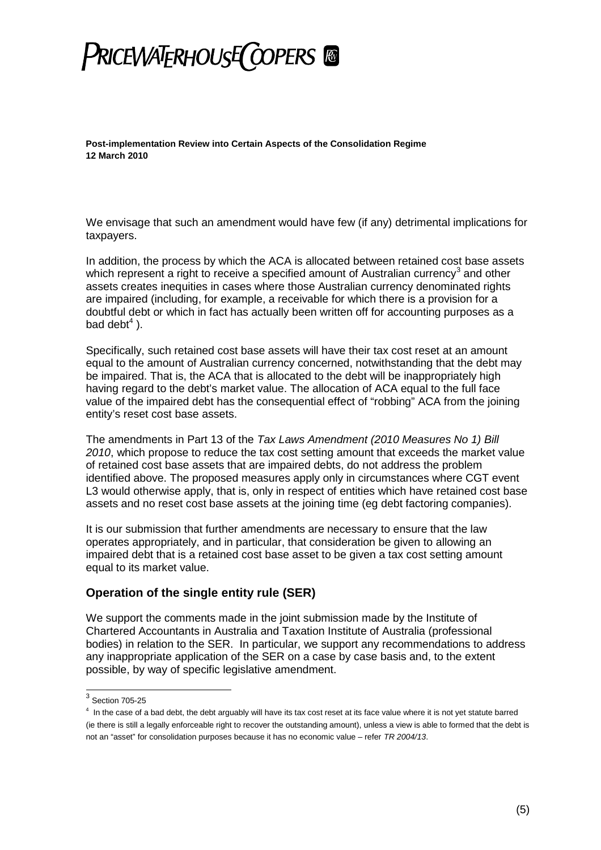## **PRICEWATERHOUSE COPERS**

**Post-implementation Review into Certain Aspects of the Consolidation Regime 12 March 2010**

We envisage that such an amendment would have few (if any) detrimental implications for taxpayers.

In addition, the process by which the ACA is allocated between retained cost base assets which represent a right to receive a specified amount of Australian currency<sup>[3](#page-4-0)</sup> and other assets creates inequities in cases where those Australian currency denominated rights are impaired (including, for example, a receivable for which there is a provision for a doubtful debt or which in fact has actually been written off for accounting purposes as a baddebt $4$ ).

Specifically, such retained cost base assets will have their tax cost reset at an amount equal to the amount of Australian currency concerned, notwithstanding that the debt may be impaired. That is, the ACA that is allocated to the debt will be inappropriately high having regard to the debt's market value. The allocation of ACA equal to the full face value of the impaired debt has the consequential effect of "robbing" ACA from the joining entity's reset cost base assets.

The amendments in Part 13 of the *Tax Laws Amendment (2010 Measures No 1) Bill 2010*, which propose to reduce the tax cost setting amount that exceeds the market value of retained cost base assets that are impaired debts, do not address the problem identified above. The proposed measures apply only in circumstances where CGT event L3 would otherwise apply, that is, only in respect of entities which have retained cost base assets and no reset cost base assets at the joining time (eg debt factoring companies).

It is our submission that further amendments are necessary to ensure that the law operates appropriately, and in particular, that consideration be given to allowing an impaired debt that is a retained cost base asset to be given a tax cost setting amount equal to its market value.

### **Operation of the single entity rule (SER)**

We support the comments made in the joint submission made by the Institute of Chartered Accountants in Australia and Taxation Institute of Australia (professional bodies) in relation to the SER. In particular, we support any recommendations to address any inappropriate application of the SER on a case by case basis and, to the extent possible, by way of specific legislative amendment.

<span id="page-4-1"></span><span id="page-4-0"></span> $^3$  Section 705-25

 $4\,$  In the case of a bad debt, the debt arguably will have its tax cost reset at its face value where it is not yet statute barred (ie there is still a legally enforceable right to recover the outstanding amount), unless a view is able to formed that the debt is not an "asset" for consolidation purposes because it has no economic value – refer *TR 2004/13*.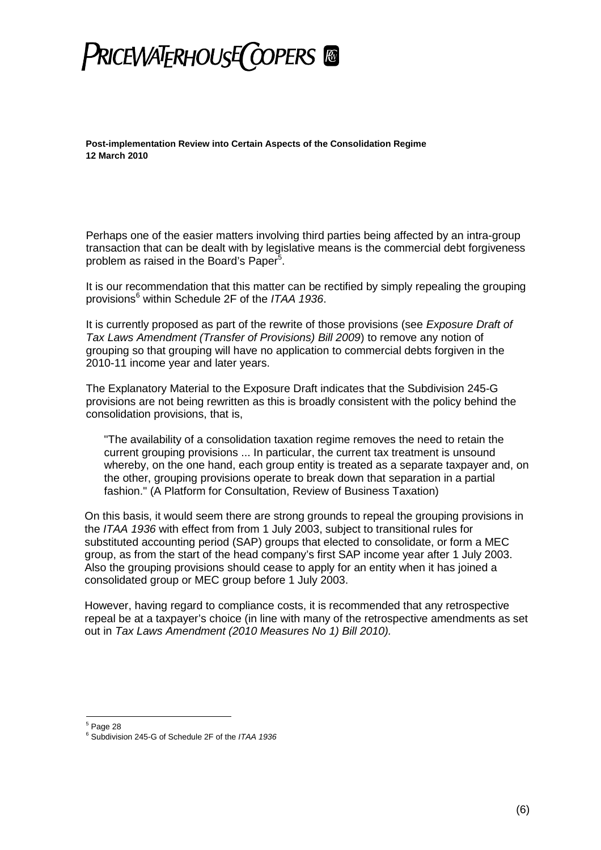## **PRICEWATERHOUSE COPERS &**

**Post-implementation Review into Certain Aspects of the Consolidation Regime 12 March 2010**

Perhaps one of the easier matters involving third parties being affected by an intra-group transaction that can be dealt with by legislative means is the commercial debt forgiveness problem as raised in the Board's Paper<sup>[5](#page-5-0)</sup>.

It is our recommendation that this matter can be rectified by simply repealing the grouping provisions[6](#page-5-1) within Schedule 2F of the *ITAA 1936*.

It is currently proposed as part of the rewrite of those provisions (see *Exposure Draft of Tax Laws Amendment (Transfer of Provisions) Bill 2009*) to remove any notion of grouping so that grouping will have no application to commercial debts forgiven in the 2010-11 income year and later years.

The Explanatory Material to the Exposure Draft indicates that the Subdivision 245-G provisions are not being rewritten as this is broadly consistent with the policy behind the consolidation provisions, that is,

"The availability of a consolidation taxation regime removes the need to retain the current grouping provisions ... In particular, the current tax treatment is unsound whereby, on the one hand, each group entity is treated as a separate taxpayer and, on the other, grouping provisions operate to break down that separation in a partial fashion." (A Platform for Consultation, Review of Business Taxation)

On this basis, it would seem there are strong grounds to repeal the grouping provisions in the *ITAA 1936* with effect from from 1 July 2003, subject to transitional rules for substituted accounting period (SAP) groups that elected to consolidate, or form a MEC group, as from the start of the head company's first SAP income year after 1 July 2003. Also the grouping provisions should cease to apply for an entity when it has joined a consolidated group or MEC group before 1 July 2003.

However, having regard to compliance costs, it is recommended that any retrospective repeal be at a taxpayer's choice (in line with many of the retrospective amendments as set out in *Tax Laws Amendment (2010 Measures No 1) Bill 2010).*

<span id="page-5-0"></span> $<sup>5</sup>$  Page 28</sup>

<span id="page-5-1"></span><sup>6</sup> Subdivision 245-G of Schedule 2F of the *ITAA 1936*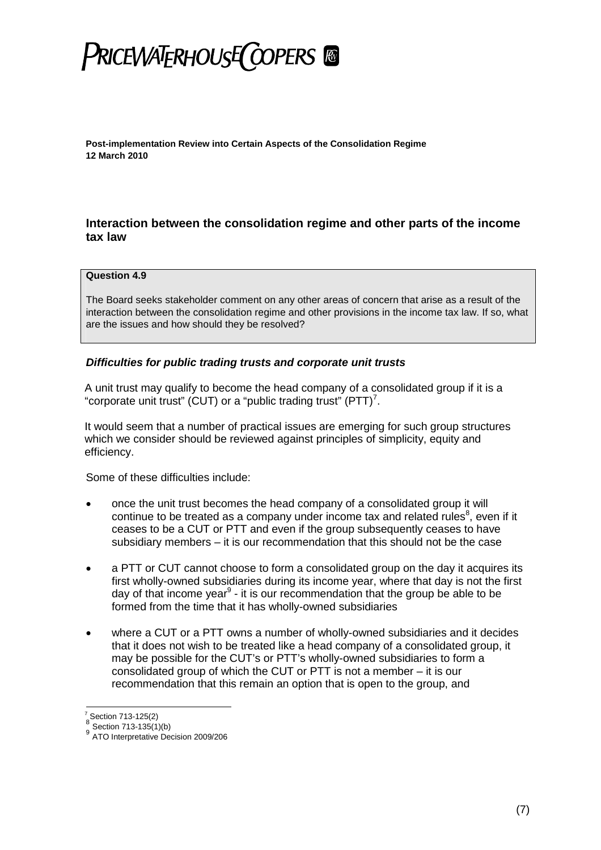## PRICEWATERHOUSE COPERS ®

**Post-implementation Review into Certain Aspects of the Consolidation Regime 12 March 2010**

### **Interaction between the consolidation regime and other parts of the income tax law**

#### **Question 4.9**

The Board seeks stakeholder comment on any other areas of concern that arise as a result of the interaction between the consolidation regime and other provisions in the income tax law. If so, what are the issues and how should they be resolved?

### *Difficulties for public trading trusts and corporate unit trusts*

A unit trust may qualify to become the head company of a consolidated group if it is a "corporate unit trust" (CUT) or a "public trading trust"  $(PTT)^7$  $(PTT)^7$ .

It would seem that a number of practical issues are emerging for such group structures which we consider should be reviewed against principles of simplicity, equity and efficiency.

Some of these difficulties include:

- once the unit trust becomes the head company of a consolidated group it will continueto be treated a[s](#page-6-1) a company under income tax and related rules<sup>8</sup>, even if it ceases to be a CUT or PTT and even if the group subsequently ceases to have subsidiary members – it is our recommendation that this should not be the case
- a PTT or CUT cannot choose to form a consolidated group on the day it acquires its first wholly-owned subsidiaries during its income year, where that day is not the first dayof that income year<sup>9</sup> - it is our recommendation that the group be able to be formed from the time that it has wholly-owned subsidiaries
- where a CUT or a PTT owns a number of wholly-owned subsidiaries and it decides that it does not wish to be treated like a head company of a consolidated group, it may be possible for the CUT's or PTT's wholly-owned subsidiaries to form a consolidated group of which the CUT or PTT is not a member – it is our recommendation that this remain an option that is open to the group, and

<span id="page-6-1"></span><span id="page-6-0"></span> $^{7}$ Section 713-125(2)

Section 713-135(1)(b)

<span id="page-6-2"></span><sup>9&</sup>lt;br>ATO Interpretative Decision 2009/206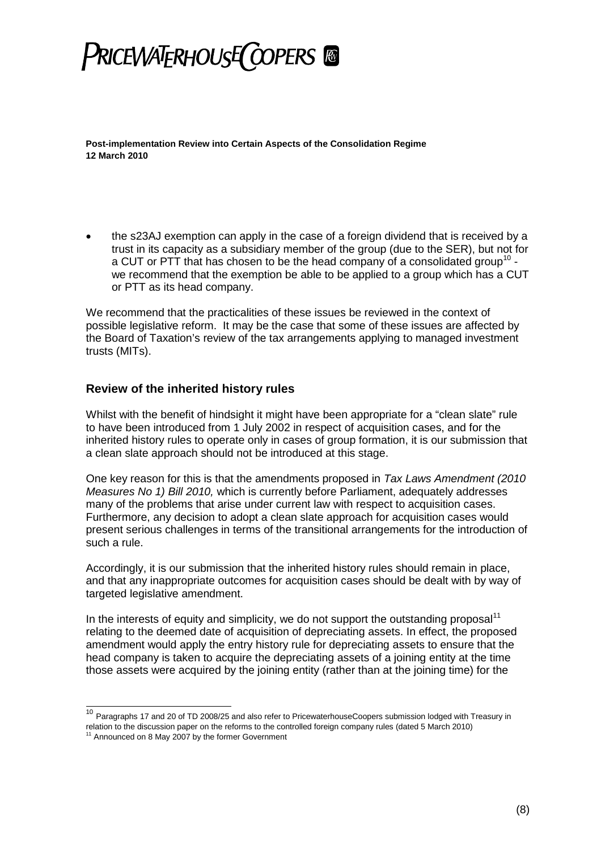

 the s23AJ exemption can apply in the case of a foreign dividend that is received by a trust in its capacity as a subsidiary member of the group (due to the SER), but not for a CUT or PTT that has chosen to be the head company of a consolidated group<sup>[10](#page-7-0)</sup> we recommend that the exemption be able to be applied to a group which has a CUT or PTT as its head company.

We recommend that the practicalities of these issues be reviewed in the context of possible legislative reform. It may be the case that some of these issues are affected by the Board of Taxation's review of the tax arrangements applying to managed investment trusts (MITs).

### **Review of the inherited history rules**

Whilst with the benefit of hindsight it might have been appropriate for a "clean slate" rule to have been introduced from 1 July 2002 in respect of acquisition cases, and for the inherited history rules to operate only in cases of group formation, it is our submission that a clean slate approach should not be introduced at this stage.

One key reason for this is that the amendments proposed in *Tax Laws Amendment (2010 Measures No 1) Bill 2010,* which is currently before Parliament, adequately addresses many of the problems that arise under current law with respect to acquisition cases. Furthermore, any decision to adopt a clean slate approach for acquisition cases would present serious challenges in terms of the transitional arrangements for the introduction of such a rule.

Accordingly, it is our submission that the inherited history rules should remain in place, and that any inappropriate outcomes for acquisition cases should be dealt with by way of targeted legislative amendment.

In the interests of equity and simplicity, we do not support the outstanding proposal<sup>[11](#page-7-1)</sup> relating to the deemed date of acquisition of depreciating assets. In effect, the proposed amendment would apply the entry history rule for depreciating assets to ensure that the head company is taken to acquire the depreciating assets of a joining entity at the time those assets were acquired by the joining entity (rather than at the joining time) for the

<span id="page-7-0"></span><sup>10</sup> Paragraphs 17 and 20 of TD 2008/25 and also refer to PricewaterhouseCoopers submission lodged with Treasury in relation to the discussion paper on the reforms to the controlled foreign company rules (dated 5 March 2010)

<span id="page-7-1"></span> $11$  Announced on 8 May 2007 by the former Government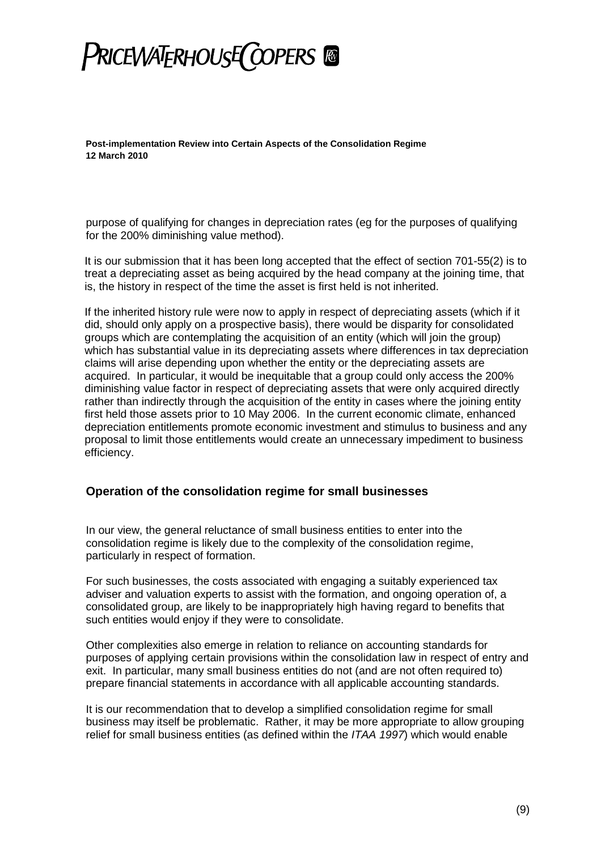## **PRICEWATERHOUSE COPERS ®**

**Post-implementation Review into Certain Aspects of the Consolidation Regime 12 March 2010**

purpose of qualifying for changes in depreciation rates (eg for the purposes of qualifying for the 200% diminishing value method).

It is our submission that it has been long accepted that the effect of section 701-55(2) is to treat a depreciating asset as being acquired by the head company at the joining time, that is, the history in respect of the time the asset is first held is not inherited.

If the inherited history rule were now to apply in respect of depreciating assets (which if it did, should only apply on a prospective basis), there would be disparity for consolidated groups which are contemplating the acquisition of an entity (which will join the group) which has substantial value in its depreciating assets where differences in tax depreciation claims will arise depending upon whether the entity or the depreciating assets are acquired. In particular, it would be inequitable that a group could only access the 200% diminishing value factor in respect of depreciating assets that were only acquired directly rather than indirectly through the acquisition of the entity in cases where the joining entity first held those assets prior to 10 May 2006. In the current economic climate, enhanced depreciation entitlements promote economic investment and stimulus to business and any proposal to limit those entitlements would create an unnecessary impediment to business efficiency.

### **Operation of the consolidation regime for small businesses**

In our view, the general reluctance of small business entities to enter into the consolidation regime is likely due to the complexity of the consolidation regime, particularly in respect of formation.

For such businesses, the costs associated with engaging a suitably experienced tax adviser and valuation experts to assist with the formation, and ongoing operation of, a consolidated group, are likely to be inappropriately high having regard to benefits that such entities would enjoy if they were to consolidate.

Other complexities also emerge in relation to reliance on accounting standards for purposes of applying certain provisions within the consolidation law in respect of entry and exit. In particular, many small business entities do not (and are not often required to) prepare financial statements in accordance with all applicable accounting standards.

It is our recommendation that to develop a simplified consolidation regime for small business may itself be problematic. Rather, it may be more appropriate to allow grouping relief for small business entities (as defined within the *ITAA 1997*) which would enable